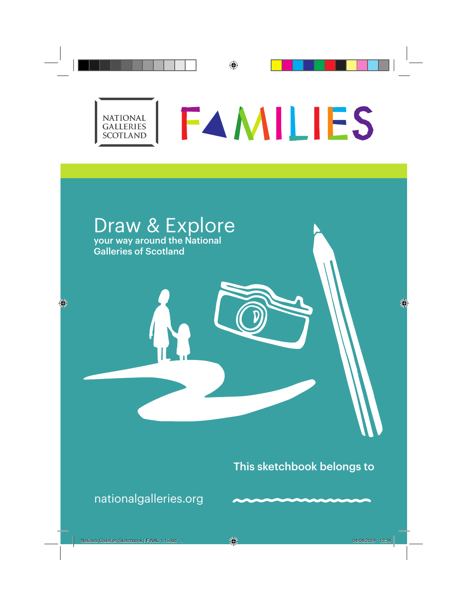### **FAMILIES NATIONAL** GALLERIES **SCOTLAND**

# Draw & Explore your way around the National Galleries of Scotland

## This sketchbook belongs to

nationalgalleries.org

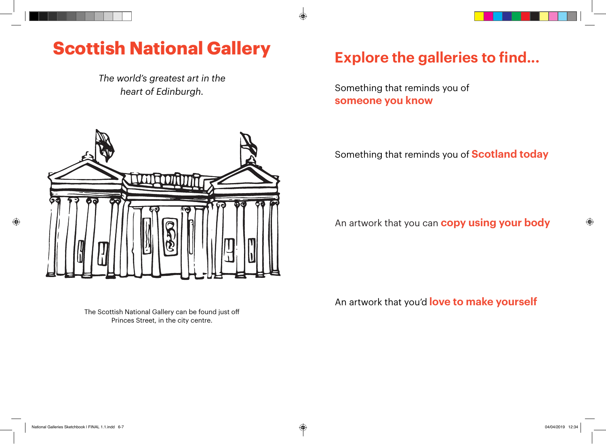## **Scottish National Gallery**

*The world's greatest art in the heart of Edinburgh.*



## **Explore the galleries to find...**

Something that reminds you of **someone you know**

Something that reminds you of **Scotland today**

An artwork that you can **copy using your body**

The Scottish National Gallery can be found just off Princes Street, in the city centre.

An artwork that you'd **love to make yourself**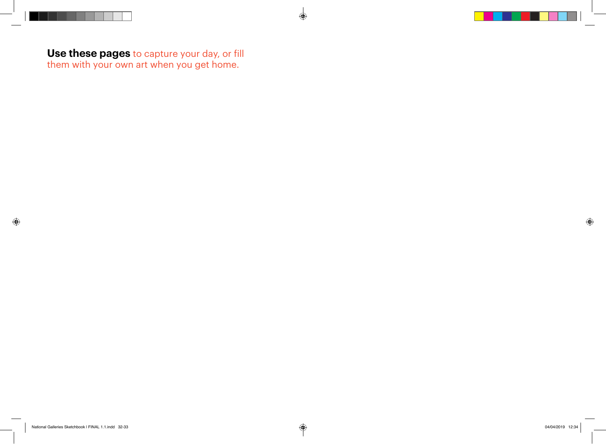**Use these pages** to capture your day, or fill them with your own art when you get home.